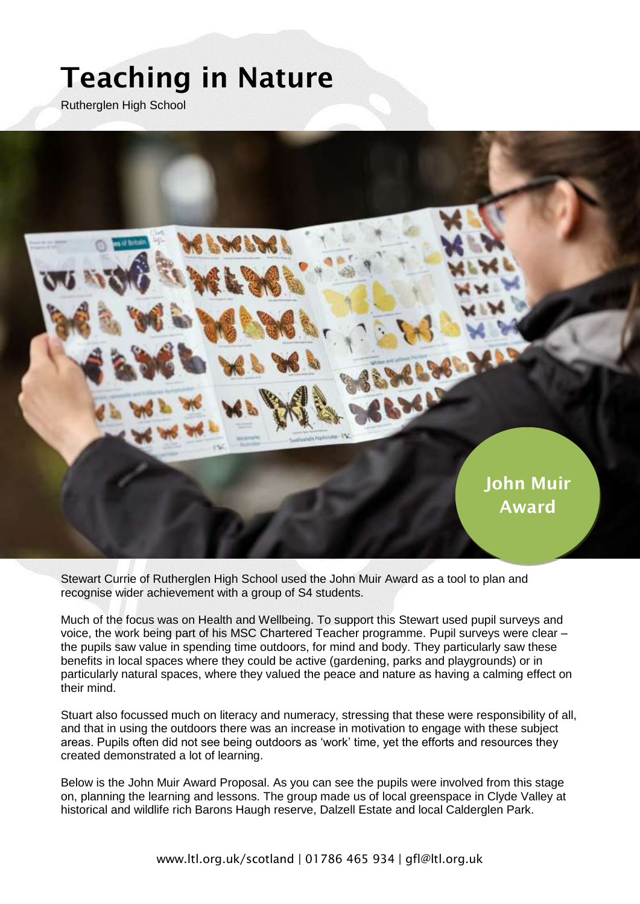## **Teaching in Nature**

Rutherglen High School



Stewart Currie of Rutherglen High School used the John Muir Award as a tool to plan and recognise wider achievement with a group of S4 students.

Much of the focus was on Health and Wellbeing. To support this Stewart used pupil surveys and voice, the work being part of his MSC Chartered Teacher programme. Pupil surveys were clear – the pupils saw value in spending time outdoors, for mind and body. They particularly saw these benefits in local spaces where they could be active (gardening, parks and playgrounds) or in particularly natural spaces, where they valued the peace and nature as having a calming effect on their mind.

Stuart also focussed much on literacy and numeracy, stressing that these were responsibility of all, and that in using the outdoors there was an increase in motivation to engage with these subject areas. Pupils often did not see being outdoors as 'work' time, yet the efforts and resources they created demonstrated a lot of learning.

Below is the John Muir Award Proposal. As you can see the pupils were involved from this stage on, planning the learning and lessons. The group made us of local greenspace in Clyde Valley at historical and wildlife rich Barons Haugh reserve, Dalzell Estate and local Calderglen Park.